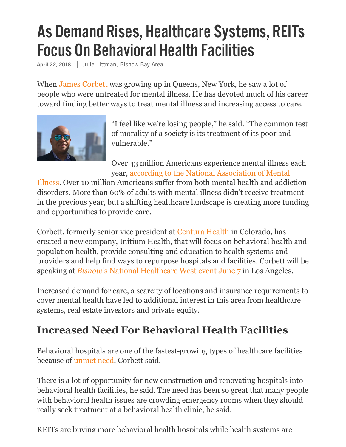## As Demand Rises, Healthcare Systems, REITs **Focus On Behavioral Health Facilities**

April 22, 2018 | Julie Littman, Bisnow Bay Area

When [James Corbett](https://www.bisnow.com/tags/james-corbett) was growing up in Queens, New York, he saw a lot of people who were untreated for mental illness. He has devoted much of his career toward finding better ways to treat mental illness and increasing access to care.



"I feel like we're losing people," he said. "The common test of morality of a society is its treatment of its poor and vulnerable."

Over 43 million Americans experience mental illness each year, according to the National Association of Mental

[Illness. Over 10 million Americans suffer from both mental health and addic](https://www.nami.org/NAMI/media/NAMI-Media/Infographics/GeneralMHFacts.pdf)tion disorders. More than 60% of adults with mental illness didn't receive treatment in the previous year, but a shifting healthcare landscape is creating more funding and opportunities to provide care.

Corbett, formerly senior vice president at [Centura Health](https://www.bisnow.com/tags/centura-health) in Colorado, has created a new company, Initium Health, that will focus on behavioral health and population health, provide consulting and education to health systems and providers and help find ways to repurpose hospitals and facilities. Corbett will be speaking at *Bisnow*['s National Healthcare West event June 7](https://www.bisnow.com/events/los-angeles/National-Healthcare-West-1145) in Los Angeles.

Increased demand for care, a scarcity of locations and insurance requirements to cover mental health have led to additional interest in this area from healthcare systems, real estate investors and private equity.

## **Increased Need For Behavioral Health Facilities**

Behavioral hospitals are one of the fastest-growing types of healthcare facilities because of [unmet need,](https://www.bisnow.com/denver/news/healthcare/colorado-needs-to-invest-in-behavioral-healthcare-82380) Corbett said.

There is a lot of opportunity for new construction and renovating hospitals into behavioral health facilities, he said. The need has been so great that many people with behavioral health issues are crowding emergency rooms when they should really seek treatment at a behavioral health clinic, he said.

REITs are buying more behavioral health hospitals while health systems are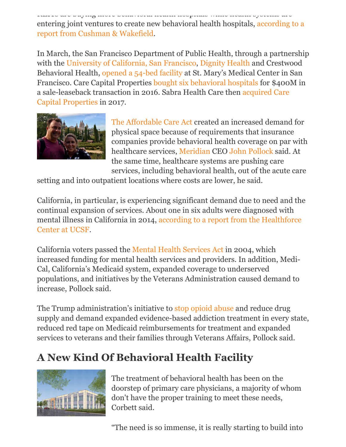REITs are buying more behavioral health hospitals while health systems are [entering joint ventures to create new behavioral health hospitals, according to a](http://blog.cushwake.com/americas/behavioral-health-treatment-centers-the-next-big-real-estate-trend.html) report from Cushman & Wakefield.

In March, the San Francisco Department of Public Health, through a partnership with the [University of California, San Francisco](https://www.bisnow.com/tags/ucsf), [Dignity Health](https://www.bisnow.com/tags/dignity-health) and Crestwood Behavioral Health, [opened a 54-bed facility](https://www.ucsf.edu/news/2018/03/409976/san-francisco-partnership-launches-mental-health-center) at St. Mary's Medical Center in San Francisco. Care Capital Properties [bought six behavioral hospitals](https://www.behavioral.net/article/finance/reit-transactions-offer-treatment-centers-source-capital) for \$400M in [a sale-leaseback transaction in 2016. Sabra Health Care then acquired Care](https://globenewswire.com/news-release/2017/08/17/1087084/0/en/Sabra-and-Care-Capital-Properties-Complete-Merger.html) Capital Properties in 2017.



[The Affordable Care Act](https://www.bisnow.com/tags/the-affordable-care-act) created an increased demand for physical space because of requirements that insurance companies provide behavioral health coverage on par with healthcare services, [Meridian](https://www.bisnow.com/tags/meridian) CEO [John Pollock](https://www.bisnow.com/tags/john-pollock) said. At the same time, healthcare systems are pushing care services, including behavioral health, out of the acute care

setting and into outpatient locations where costs are lower, he said.

California, in particular, is experiencing significant demand due to need and the continual expansion of services. About one in six adults were diagnosed with [mental illness in California in 2014, according to a report from the Healthforce](https://healthforce.ucsf.edu/publications/california-s-current-and-future-behavioral-health-workforce) Center at UCSF.

California voters passed the [Mental Health Services Act](http://www.dhcs.ca.gov/services/mh/Pages/MH_Prop63.aspx) in 2004, which increased funding for mental health services and providers. In addition, Medi-Cal, California's Medicaid system, expanded coverage to underserved populations, and initiatives by the Veterans Administration caused demand to increase, Pollock said.

The Trump administration's initiative to [stop opioid abuse](https://www.hhs.gov/about/news/2018/04/18/hhs-provides-states-second-installment-grant-awards-combat-opioid-crisis.html) and reduce drug supply and demand expanded evidence-based addiction treatment in every state, reduced red tape on Medicaid reimbursements for treatment and expanded services to veterans and their families through Veterans Affairs, Pollock said.

## **A New Kind Of Behavioral Health Facility**



The treatment of behavioral health has been on the doorstep of primary care physicians, a majority of whom don't have the proper training to meet these needs, Corbett said.

"The need is so immense, it is really starting to build into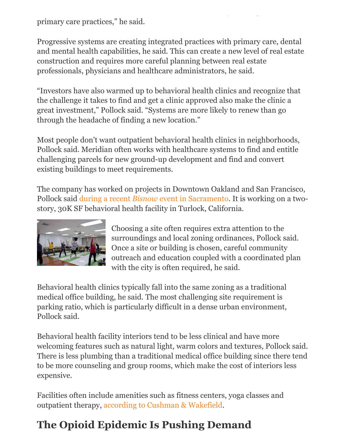primary care practices," he said.

Progressive systems are creating integrated practices with primary care, dental and mental health capabilities, he said. This can create a new level of real estate construction and requires more careful planning between real estate professionals, physicians and healthcare administrators, he said.

, y gregoriano (n. 1914)<br>1910 - Johann John Barn, político (n. 1920)<br>1920 - John Barn, político (n. 1920)

"Investors have also warmed up to behavioral health clinics and recognize that the challenge it takes to find and get a clinic approved also make the clinic a great investment," Pollock said. "Systems are more likely to renew than go through the headache of finding a new location."

Most people don't want outpatient behavioral health clinics in neighborhoods, Pollock said. Meridian often works with healthcare systems to find and entitle challenging parcels for new ground-up development and find and convert existing buildings to meet requirements.

The company has worked on projects in Downtown Oakland and San Francisco, Pollock said during a recent *Bisnow* [event in Sacramento.](https://www.bisnow.com/sacramento/news/healthcare/sacramento-event-86280) It is working on a twostory, 30K SF behavioral health facility in Turlock, California.



Choosing a site often requires extra attention to the surroundings and local zoning ordinances, Pollock said. Once a site or building is chosen, careful community outreach and education coupled with a coordinated plan with the city is often required, he said.

Behavioral health clinics typically fall into the same zoning as a traditional medical office building, he said. The most challenging site requirement is parking ratio, which is particularly difficult in a dense urban environment, Pollock said.

Behavioral health facility interiors tend to be less clinical and have more welcoming features such as natural light, warm colors and textures, Pollock said. There is less plumbing than a traditional medical office building since there tend to be more counseling and group rooms, which make the cost of interiors less expensive.

Facilities often include amenities such as fitness centers, yoga classes and outpatient therapy, [according to Cushman & Wakefield.](http://blog.cushwake.com/americas/behavioral-health-treatment-centers-the-next-big-real-estate-trend.html)

## **The Opioid Epidemic Is Pushing Demand**